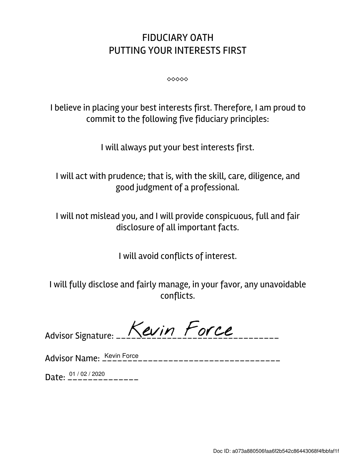## FIDUCIARY OATH PUTTING YOUR INTERESTS FIRST

⬥⬥⬥⬥⬥

I believe in placing your best interests first. Therefore, I am proud to commit to the following five fiduciary principles:

I will always put your best interests first.

I will act with prudence; that is, with the skill, care, diligence, and good judgment of a professional.

I will not mislead you, and I will provide conspicuous, full and fair disclosure of all important facts.

I will avoid conflicts of interest.

I will fully disclose and fairly manage, in your favor, any unavoidable conflicts.

Advisor Name: \_\_\_\_\_\_\_\_\_\_\_\_\_\_\_\_\_\_\_\_\_\_\_\_\_\_\_\_\_\_\_\_\_\_\_ Kevin Force

Date:  $\frac{01/02/2020}{---------}$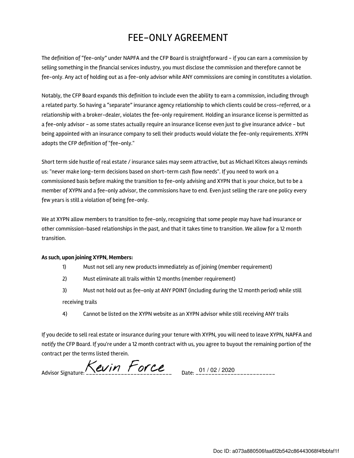## FEE-ONLY AGREEMENT

The definition of "fee-only" under NAPFA and the CFP Board is straightforward - if you can earn a commission by selling something in the financial services industry, you must disclose the commission and therefore cannot be fee-only. Any act of holding out as a fee-only advisor while ANY commissions are coming in constitutes a violation.

Notably, the CFP Board expands this definition to include even the ability to earn a commission, including through a related party. So having a "separate" insurance agency relationship to which clients could be cross-referred, or a relationship with a broker-dealer, violates the fee-only requirement. Holding an insurance license is permitted as a fee-only advisor - as some states actually require an insurance license even just to give insurance advice - but being appointed with an insurance company to sell their products would violate the fee-only requirements. XYPN adopts the CFP definition of "fee-only."

Short term side hustle of real estate / insurance sales may seem attractive, but as Michael Kitces always reminds us: "never make long-term decisions based on short-term cash flow needs". If you need to work on a commissioned basis before making the transition to fee-only advising and XYPN that is your choice, but to be a member of XYPN and a fee-only advisor, the commissions have to end. Even just selling the rare one policy every few years is still a violation of being fee-only.

We at XYPN allow members to transition to fee-only, recognizing that some people may have had insurance or other commission-based relationships in the past, and that it takes time to transition. We allow for a 12 month transition.

## As such, upon joining XYPN, Members:

- 1) Must not sell any new products immediately as of joining (member requirement)
- 2) Must eliminate all trails within 12 months (member requirement)
- 3) Must not hold out as fee-only at ANY POINT (including during the 12 month period) while still receiving trails
- 4) Cannot be listed on the XYPN website as an XYPN advisor while still receiving ANY trails

If you decide to sell real estate or insurance during your tenure with XYPN, you will need to leave XYPN, NAPFA and notify the CFP Board. If you're under a 12 month contract with us, you agree to buyout the remaining portion of the contract per the terms listed therein.

Advisor Signature:  $\overline{\text{K}}$ evin Force Date: 01/02/2020